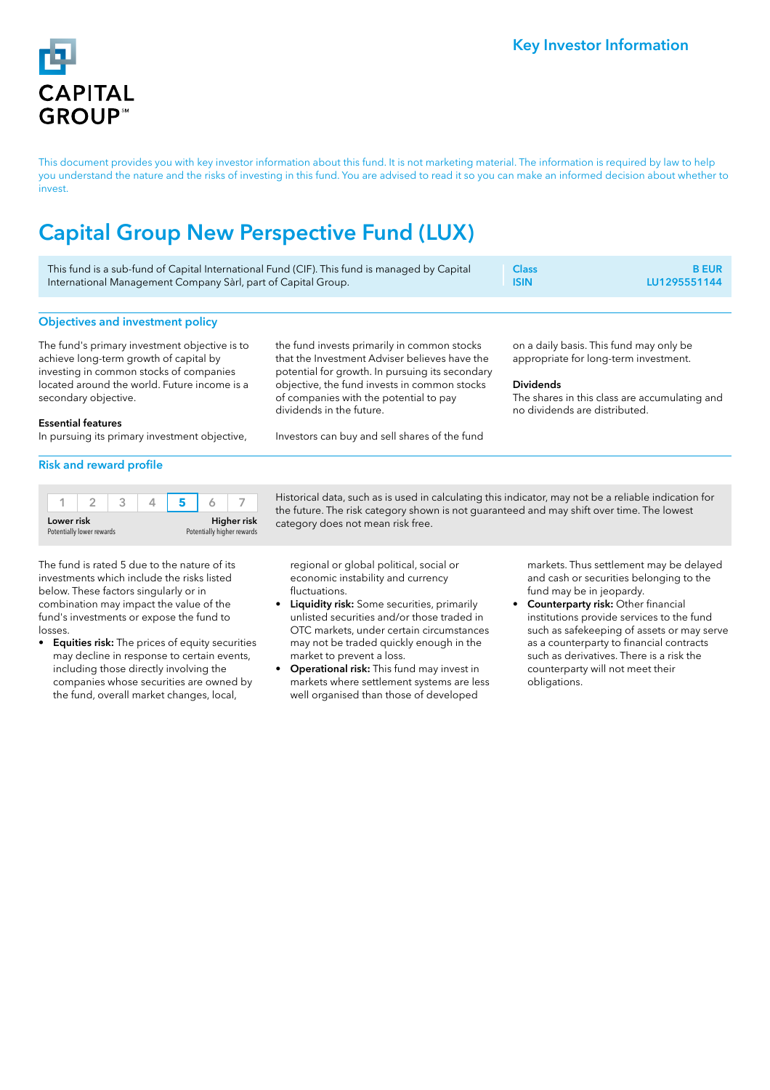

This document provides you with key investor information about this fund. It is not marketing material. The information is required by law to help you understand the nature and the risks of investing in this fund. You are advised to read it so you can make an informed decision about whether to invest.

# Capital Group New Perspective Fund (LUX)

| This fund is a sub-fund of Capital International Fund (CIF). This fund is managed by Capital | <b>Class</b> | <b>B</b> EUR |
|----------------------------------------------------------------------------------------------|--------------|--------------|
| International Management Company Sàrl, part of Capital Group.                                | <b>ISIN</b>  | LU1295551144 |

# Objectives and investment policy

The fund's primary investment objective is to achieve long-term growth of capital by investing in common stocks of companies located around the world. Future income is a secondary objective.

the fund invests primarily in common stocks that the Investment Adviser believes have the potential for growth. In pursuing its secondary objective, the fund invests in common stocks of companies with the potential to pay dividends in the future.

Investors can buy and sell shares of the fund

on a daily basis. This fund may only be appropriate for long-term investment.

## Dividends

The shares in this class are accumulating and no dividends are distributed.

#### Essential features

In pursuing its primary investment objective,

# Risk and reward profile

| Lower risk                |  |  | <b>Higher risk</b>         |  |  |  |
|---------------------------|--|--|----------------------------|--|--|--|
| Potentially lower rewards |  |  | Potentially higher rewards |  |  |  |

The fund is rated 5 due to the nature of its investments which include the risks listed below. These factors singularly or in combination may impact the value of the fund's investments or expose the fund to losses.

Equities risk: The prices of equity securities may decline in response to certain events, including those directly involving the companies whose securities are owned by the fund, overall market changes, local,

Historical data, such as is used in calculating this indicator, may not be a reliable indication for the future. The risk category shown is not guaranteed and may shift over time. The lowest category does not mean risk free.

regional or global political, social or economic instability and currency fluctuations.

- **Liquidity risk:** Some securities, primarily unlisted securities and/or those traded in OTC markets, under certain circumstances may not be traded quickly enough in the market to prevent a loss.
- Operational risk: This fund may invest in markets where settlement systems are less well organised than those of developed

markets. Thus settlement may be delayed and cash or securities belonging to the fund may be in jeopardy.

Counterparty risk: Other financial institutions provide services to the fund such as safekeeping of assets or may serve as a counterparty to financial contracts such as derivatives. There is a risk the counterparty will not meet their obligations.